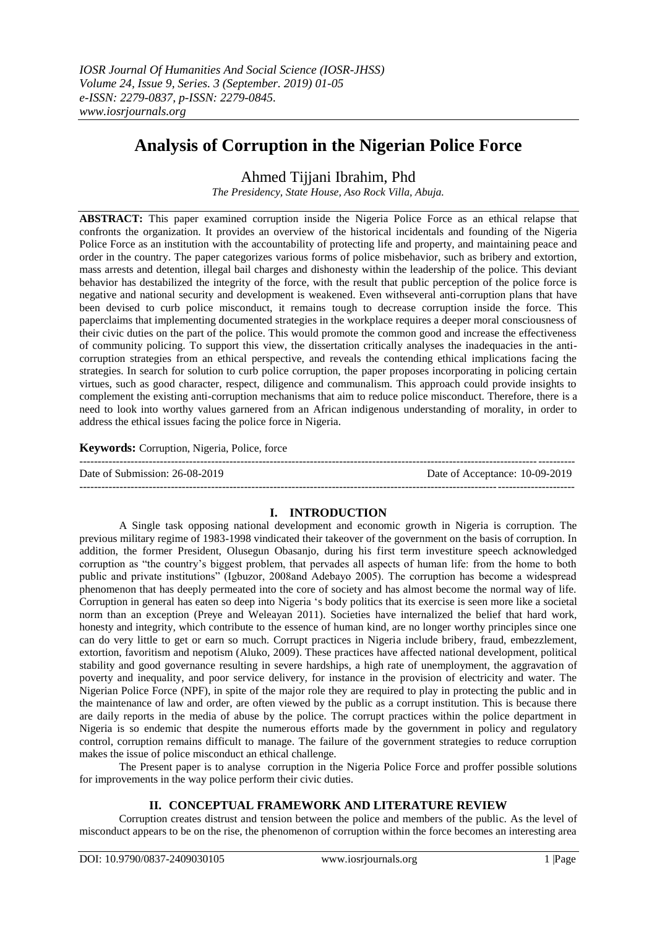# **Analysis of Corruption in the Nigerian Police Force**

## Ahmed Tijjani Ibrahim, Phd

*The Presidency, State House, Aso Rock Villa, Abuja.* 

**ABSTRACT:** This paper examined corruption inside the Nigeria Police Force as an ethical relapse that confronts the organization. It provides an overview of the historical incidentals and founding of the Nigeria Police Force as an institution with the accountability of protecting life and property, and maintaining peace and order in the country. The paper categorizes various forms of police misbehavior, such as bribery and extortion, mass arrests and detention, illegal bail charges and dishonesty within the leadership of the police. This deviant behavior has destabilized the integrity of the force, with the result that public perception of the police force is negative and national security and development is weakened. Even withseveral anti-corruption plans that have been devised to curb police misconduct, it remains tough to decrease corruption inside the force. This paperclaims that implementing documented strategies in the workplace requires a deeper moral consciousness of their civic duties on the part of the police. This would promote the common good and increase the effectiveness of community policing. To support this view, the dissertation critically analyses the inadequacies in the anticorruption strategies from an ethical perspective, and reveals the contending ethical implications facing the strategies. In search for solution to curb police corruption, the paper proposes incorporating in policing certain virtues, such as good character, respect, diligence and communalism. This approach could provide insights to complement the existing anti-corruption mechanisms that aim to reduce police misconduct. Therefore, there is a need to look into worthy values garnered from an African indigenous understanding of morality, in order to address the ethical issues facing the police force in Nigeria.

## **Keywords:** Corruption, Nigeria, Police, force

| Date of Submission: 26-08-2019 | Date of Acceptance: 10-09-2019 |
|--------------------------------|--------------------------------|
|                                |                                |

## **I. INTRODUCTION**

A Single task opposing national development and economic growth in Nigeria is corruption. The previous military regime of 1983-1998 vindicated their takeover of the government on the basis of corruption. In addition, the former President, Olusegun Obasanjo, during his first term investiture speech acknowledged corruption as "the country"s biggest problem, that pervades all aspects of human life: from the home to both public and private institutions" (Igbuzor, 2008and Adebayo 2005). The corruption has become a widespread phenomenon that has deeply permeated into the core of society and has almost become the normal way of life. Corruption in general has eaten so deep into Nigeria "s body politics that its exercise is seen more like a societal norm than an exception (Preye and Weleayan 2011). Societies have internalized the belief that hard work, honesty and integrity, which contribute to the essence of human kind, are no longer worthy principles since one can do very little to get or earn so much. Corrupt practices in Nigeria include bribery, fraud, embezzlement, extortion, favoritism and nepotism (Aluko, 2009). These practices have affected national development, political stability and good governance resulting in severe hardships, a high rate of unemployment, the aggravation of poverty and inequality, and poor service delivery, for instance in the provision of electricity and water. The Nigerian Police Force (NPF), in spite of the major role they are required to play in protecting the public and in the maintenance of law and order, are often viewed by the public as a corrupt institution. This is because there are daily reports in the media of abuse by the police. The corrupt practices within the police department in Nigeria is so endemic that despite the numerous efforts made by the government in policy and regulatory control, corruption remains difficult to manage. The failure of the government strategies to reduce corruption makes the issue of police misconduct an ethical challenge.

The Present paper is to analyse corruption in the Nigeria Police Force and proffer possible solutions for improvements in the way police perform their civic duties.

## **II. CONCEPTUAL FRAMEWORK AND LITERATURE REVIEW**

Corruption creates distrust and tension between the police and members of the public. As the level of misconduct appears to be on the rise, the phenomenon of corruption within the force becomes an interesting area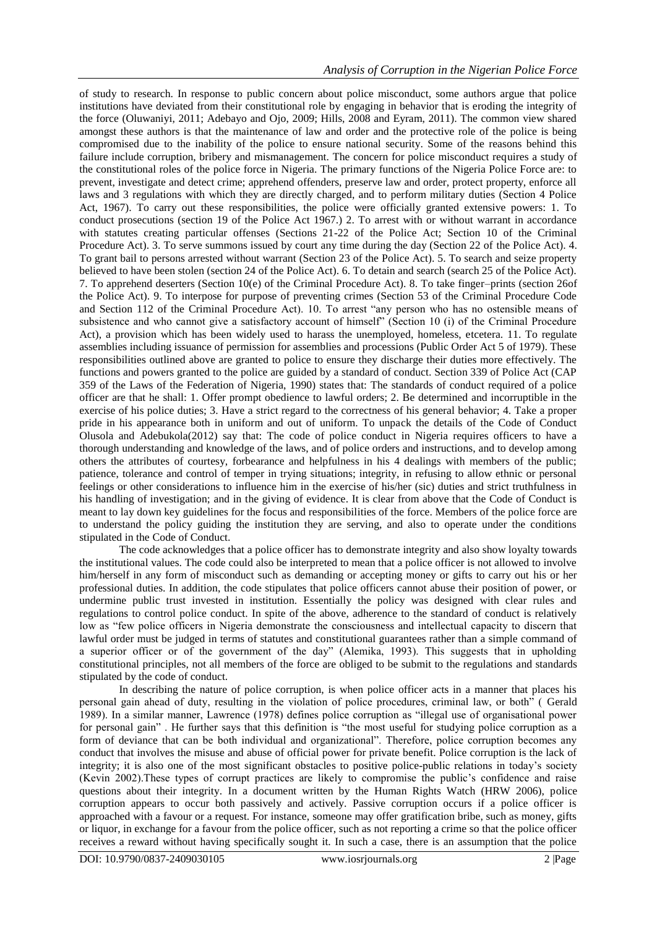of study to research. In response to public concern about police misconduct, some authors argue that police institutions have deviated from their constitutional role by engaging in behavior that is eroding the integrity of the force (Oluwaniyi, 2011; Adebayo and Ojo, 2009; Hills, 2008 and Eyram, 2011). The common view shared amongst these authors is that the maintenance of law and order and the protective role of the police is being compromised due to the inability of the police to ensure national security. Some of the reasons behind this failure include corruption, bribery and mismanagement. The concern for police misconduct requires a study of the constitutional roles of the police force in Nigeria. The primary functions of the Nigeria Police Force are: to prevent, investigate and detect crime; apprehend offenders, preserve law and order, protect property, enforce all laws and 3 regulations with which they are directly charged, and to perform military duties (Section 4 Police Act, 1967). To carry out these responsibilities, the police were officially granted extensive powers: 1. To conduct prosecutions (section 19 of the Police Act 1967.) 2. To arrest with or without warrant in accordance with statutes creating particular offenses (Sections 21-22 of the Police Act; Section 10 of the Criminal Procedure Act). 3. To serve summons issued by court any time during the day (Section 22 of the Police Act). 4. To grant bail to persons arrested without warrant (Section 23 of the Police Act). 5. To search and seize property believed to have been stolen (section 24 of the Police Act). 6. To detain and search (search 25 of the Police Act). 7. To apprehend deserters (Section 10(e) of the Criminal Procedure Act). 8. To take finger–prints (section 26of the Police Act). 9. To interpose for purpose of preventing crimes (Section 53 of the Criminal Procedure Code and Section 112 of the Criminal Procedure Act). 10. To arrest "any person who has no ostensible means of subsistence and who cannot give a satisfactory account of himself" (Section 10 (i) of the Criminal Procedure Act), a provision which has been widely used to harass the unemployed, homeless, etcetera. 11. To regulate assemblies including issuance of permission for assemblies and processions (Public Order Act 5 of 1979). These responsibilities outlined above are granted to police to ensure they discharge their duties more effectively. The functions and powers granted to the police are guided by a standard of conduct. Section 339 of Police Act (CAP 359 of the Laws of the Federation of Nigeria, 1990) states that: The standards of conduct required of a police officer are that he shall: 1. Offer prompt obedience to lawful orders; 2. Be determined and incorruptible in the exercise of his police duties; 3. Have a strict regard to the correctness of his general behavior; 4. Take a proper pride in his appearance both in uniform and out of uniform. To unpack the details of the Code of Conduct Olusola and Adebukola(2012) say that: The code of police conduct in Nigeria requires officers to have a thorough understanding and knowledge of the laws, and of police orders and instructions, and to develop among others the attributes of courtesy, forbearance and helpfulness in his 4 dealings with members of the public; patience, tolerance and control of temper in trying situations; integrity, in refusing to allow ethnic or personal feelings or other considerations to influence him in the exercise of his/her (sic) duties and strict truthfulness in his handling of investigation; and in the giving of evidence. It is clear from above that the Code of Conduct is meant to lay down key guidelines for the focus and responsibilities of the force. Members of the police force are to understand the policy guiding the institution they are serving, and also to operate under the conditions stipulated in the Code of Conduct.

The code acknowledges that a police officer has to demonstrate integrity and also show loyalty towards the institutional values. The code could also be interpreted to mean that a police officer is not allowed to involve him/herself in any form of misconduct such as demanding or accepting money or gifts to carry out his or her professional duties. In addition, the code stipulates that police officers cannot abuse their position of power, or undermine public trust invested in institution. Essentially the policy was designed with clear rules and regulations to control police conduct. In spite of the above, adherence to the standard of conduct is relatively low as "few police officers in Nigeria demonstrate the consciousness and intellectual capacity to discern that lawful order must be judged in terms of statutes and constitutional guarantees rather than a simple command of a superior officer or of the government of the day" (Alemika, 1993). This suggests that in upholding constitutional principles, not all members of the force are obliged to be submit to the regulations and standards stipulated by the code of conduct.

In describing the nature of police corruption, is when police officer acts in a manner that places his personal gain ahead of duty, resulting in the violation of police procedures, criminal law, or both" ( Gerald 1989). In a similar manner, Lawrence (1978) defines police corruption as "illegal use of organisational power for personal gain" . He further says that this definition is "the most useful for studying police corruption as a form of deviance that can be both individual and organizational". Therefore, police corruption becomes any conduct that involves the misuse and abuse of official power for private benefit. Police corruption is the lack of integrity; it is also one of the most significant obstacles to positive police-public relations in today"s society (Kevin 2002).These types of corrupt practices are likely to compromise the public"s confidence and raise questions about their integrity. In a document written by the Human Rights Watch (HRW 2006), police corruption appears to occur both passively and actively. Passive corruption occurs if a police officer is approached with a favour or a request. For instance, someone may offer gratification bribe, such as money, gifts or liquor, in exchange for a favour from the police officer, such as not reporting a crime so that the police officer receives a reward without having specifically sought it. In such a case, there is an assumption that the police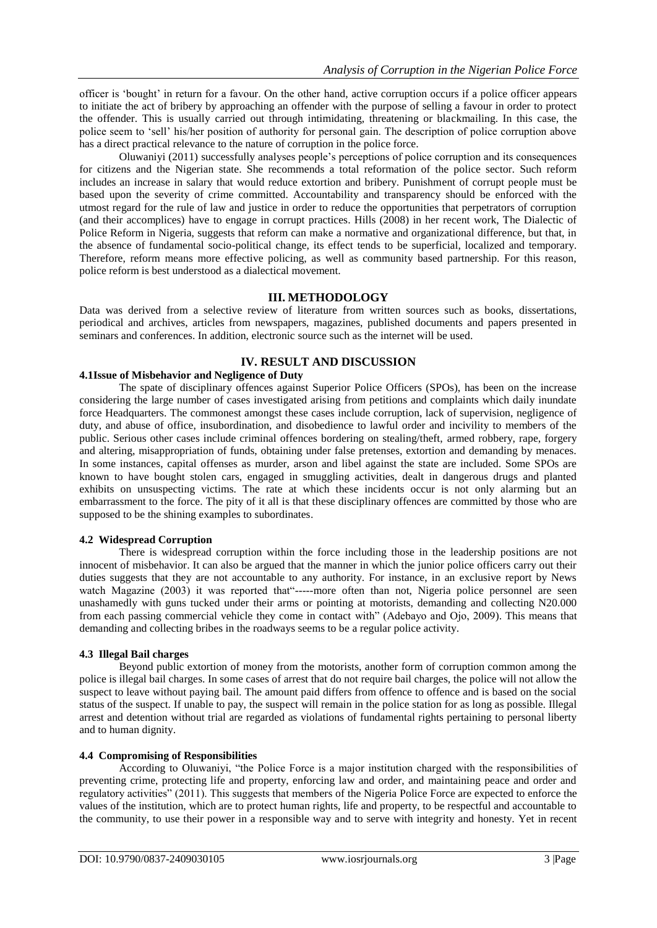officer is "bought" in return for a favour. On the other hand, active corruption occurs if a police officer appears to initiate the act of bribery by approaching an offender with the purpose of selling a favour in order to protect the offender. This is usually carried out through intimidating, threatening or blackmailing. In this case, the police seem to "sell" his/her position of authority for personal gain. The description of police corruption above has a direct practical relevance to the nature of corruption in the police force.

Oluwaniyi (2011) successfully analyses people"s perceptions of police corruption and its consequences for citizens and the Nigerian state. She recommends a total reformation of the police sector. Such reform includes an increase in salary that would reduce extortion and bribery. Punishment of corrupt people must be based upon the severity of crime committed. Accountability and transparency should be enforced with the utmost regard for the rule of law and justice in order to reduce the opportunities that perpetrators of corruption (and their accomplices) have to engage in corrupt practices. Hills (2008) in her recent work, The Dialectic of Police Reform in Nigeria, suggests that reform can make a normative and organizational difference, but that, in the absence of fundamental socio-political change, its effect tends to be superficial, localized and temporary. Therefore, reform means more effective policing, as well as community based partnership. For this reason, police reform is best understood as a dialectical movement.

#### **III. METHODOLOGY**

Data was derived from a selective review of literature from written sources such as books, dissertations, periodical and archives, articles from newspapers, magazines, published documents and papers presented in seminars and conferences. In addition, electronic source such as the internet will be used.

## **IV. RESULT AND DISCUSSION**

#### **4.1Issue of Misbehavior and Negligence of Duty**

The spate of disciplinary offences against Superior Police Officers (SPOs), has been on the increase considering the large number of cases investigated arising from petitions and complaints which daily inundate force Headquarters. The commonest amongst these cases include corruption, lack of supervision, negligence of duty, and abuse of office, insubordination, and disobedience to lawful order and incivility to members of the public. Serious other cases include criminal offences bordering on stealing/theft, armed robbery, rape, forgery and altering, misappropriation of funds, obtaining under false pretenses, extortion and demanding by menaces. In some instances, capital offenses as murder, arson and libel against the state are included. Some SPOs are known to have bought stolen cars, engaged in smuggling activities, dealt in dangerous drugs and planted exhibits on unsuspecting victims. The rate at which these incidents occur is not only alarming but an embarrassment to the force. The pity of it all is that these disciplinary offences are committed by those who are supposed to be the shining examples to subordinates.

#### **4.2 Widespread Corruption**

There is widespread corruption within the force including those in the leadership positions are not innocent of misbehavior. It can also be argued that the manner in which the junior police officers carry out their duties suggests that they are not accountable to any authority. For instance, in an exclusive report by News watch Magazine (2003) it was reported that"-----more often than not, Nigeria police personnel are seen unashamedly with guns tucked under their arms or pointing at motorists, demanding and collecting N20.000 from each passing commercial vehicle they come in contact with" (Adebayo and Ojo, 2009). This means that demanding and collecting bribes in the roadways seems to be a regular police activity.

#### **4.3 Illegal Bail charges**

Beyond public extortion of money from the motorists, another form of corruption common among the police is illegal bail charges. In some cases of arrest that do not require bail charges, the police will not allow the suspect to leave without paying bail. The amount paid differs from offence to offence and is based on the social status of the suspect. If unable to pay, the suspect will remain in the police station for as long as possible. Illegal arrest and detention without trial are regarded as violations of fundamental rights pertaining to personal liberty and to human dignity.

#### **4.4 Compromising of Responsibilities**

According to Oluwaniyi, "the Police Force is a major institution charged with the responsibilities of preventing crime, protecting life and property, enforcing law and order, and maintaining peace and order and regulatory activities" (2011). This suggests that members of the Nigeria Police Force are expected to enforce the values of the institution, which are to protect human rights, life and property, to be respectful and accountable to the community, to use their power in a responsible way and to serve with integrity and honesty. Yet in recent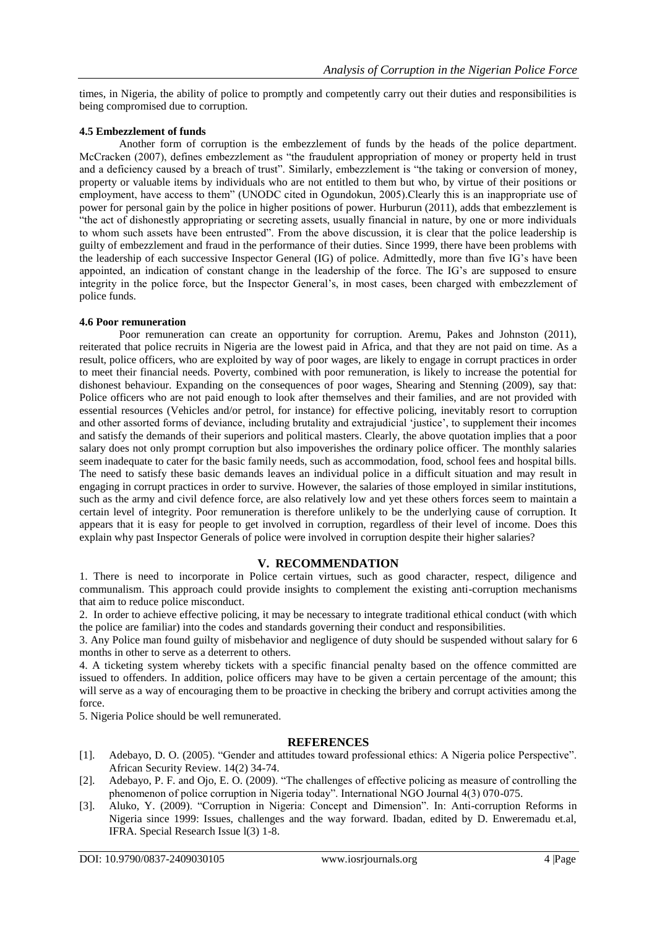times, in Nigeria, the ability of police to promptly and competently carry out their duties and responsibilities is being compromised due to corruption.

#### **4.5 Embezzlement of funds**

Another form of corruption is the embezzlement of funds by the heads of the police department. McCracken (2007), defines embezzlement as "the fraudulent appropriation of money or property held in trust and a deficiency caused by a breach of trust". Similarly, embezzlement is "the taking or conversion of money, property or valuable items by individuals who are not entitled to them but who, by virtue of their positions or employment, have access to them" (UNODC cited in Ogundokun, 2005).Clearly this is an inappropriate use of power for personal gain by the police in higher positions of power. Hurburun (2011), adds that embezzlement is "the act of dishonestly appropriating or secreting assets, usually financial in nature, by one or more individuals to whom such assets have been entrusted". From the above discussion, it is clear that the police leadership is guilty of embezzlement and fraud in the performance of their duties. Since 1999, there have been problems with the leadership of each successive Inspector General (IG) of police. Admittedly, more than five IG"s have been appointed, an indication of constant change in the leadership of the force. The IG"s are supposed to ensure integrity in the police force, but the Inspector General"s, in most cases, been charged with embezzlement of police funds.

#### **4.6 Poor remuneration**

Poor remuneration can create an opportunity for corruption. Aremu, Pakes and Johnston (2011), reiterated that police recruits in Nigeria are the lowest paid in Africa, and that they are not paid on time. As a result, police officers, who are exploited by way of poor wages, are likely to engage in corrupt practices in order to meet their financial needs. Poverty, combined with poor remuneration, is likely to increase the potential for dishonest behaviour. Expanding on the consequences of poor wages, Shearing and Stenning (2009), say that: Police officers who are not paid enough to look after themselves and their families, and are not provided with essential resources (Vehicles and/or petrol, for instance) for effective policing, inevitably resort to corruption and other assorted forms of deviance, including brutality and extrajudicial "justice", to supplement their incomes and satisfy the demands of their superiors and political masters. Clearly, the above quotation implies that a poor salary does not only prompt corruption but also impoverishes the ordinary police officer. The monthly salaries seem inadequate to cater for the basic family needs, such as accommodation, food, school fees and hospital bills. The need to satisfy these basic demands leaves an individual police in a difficult situation and may result in engaging in corrupt practices in order to survive. However, the salaries of those employed in similar institutions, such as the army and civil defence force, are also relatively low and yet these others forces seem to maintain a certain level of integrity. Poor remuneration is therefore unlikely to be the underlying cause of corruption. It appears that it is easy for people to get involved in corruption, regardless of their level of income. Does this explain why past Inspector Generals of police were involved in corruption despite their higher salaries?

## **V. RECOMMENDATION**

1. There is need to incorporate in Police certain virtues, such as good character, respect, diligence and communalism. This approach could provide insights to complement the existing anti-corruption mechanisms that aim to reduce police misconduct.

2. In order to achieve effective policing, it may be necessary to integrate traditional ethical conduct (with which the police are familiar) into the codes and standards governing their conduct and responsibilities.

3. Any Police man found guilty of misbehavior and negligence of duty should be suspended without salary for 6 months in other to serve as a deterrent to others.

4. A ticketing system whereby tickets with a specific financial penalty based on the offence committed are issued to offenders. In addition, police officers may have to be given a certain percentage of the amount; this will serve as a way of encouraging them to be proactive in checking the bribery and corrupt activities among the force.

5. Nigeria Police should be well remunerated.

## **REFERENCES**

- [1]. Adebayo, D. O. (2005). "Gender and attitudes toward professional ethics: A Nigeria police Perspective". African Security Review. 14(2) 34-74.
- [2]. Adebayo, P. F. and Ojo, E. O. (2009). "The challenges of effective policing as measure of controlling the phenomenon of police corruption in Nigeria today". International NGO Journal 4(3) 070-075.
- [3]. Aluko, Y. (2009). "Corruption in Nigeria: Concept and Dimension". In: Anti-corruption Reforms in Nigeria since 1999: Issues, challenges and the way forward. Ibadan, edited by D. Enweremadu et.al, IFRA. Special Research Issue l(3) 1-8.